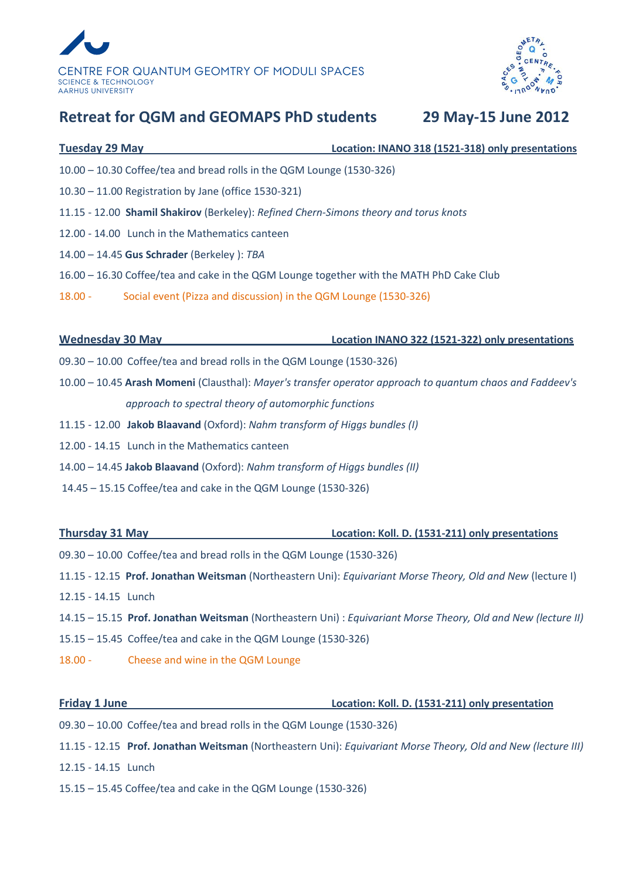



## **Retreat for QGM and GEOMAPS PhD students 29 May-15 June 2012**

| <b>Tuesday 29 May</b>                                                                                     | Location: INANO 318 (1521-318) only presentations                       |  |
|-----------------------------------------------------------------------------------------------------------|-------------------------------------------------------------------------|--|
| 10.00 - 10.30 Coffee/tea and bread rolls in the QGM Lounge (1530-326)                                     |                                                                         |  |
| 10.30 - 11.00 Registration by Jane (office 1530-321)                                                      |                                                                         |  |
| 11.15 - 12.00 Shamil Shakirov (Berkeley): Refined Chern-Simons theory and torus knots                     |                                                                         |  |
| 12.00 - 14.00 Lunch in the Mathematics canteen                                                            |                                                                         |  |
| 14.00 - 14.45 Gus Schrader (Berkeley): TBA                                                                |                                                                         |  |
| 16.00 - 16.30 Coffee/tea and cake in the QGM Lounge together with the MATH PhD Cake Club                  |                                                                         |  |
| Social event (Pizza and discussion) in the QGM Lounge (1530-326)<br>$18.00 -$                             |                                                                         |  |
|                                                                                                           |                                                                         |  |
| <b>Wednesday 30 May</b>                                                                                   | <b>Example 2016 10 Location INANO 322 (1521-322) only presentations</b> |  |
| 09.30 - 10.00 Coffee/tea and bread rolls in the QGM Lounge (1530-326)                                     |                                                                         |  |
| 10.00 - 10.45 Arash Momeni (Clausthal): Mayer's transfer operator approach to quantum chaos and Faddeev's |                                                                         |  |
| approach to spectral theory of automorphic functions                                                      |                                                                         |  |
| 11.15 - 12.00 Jakob Blaavand (Oxford): Nahm transform of Higgs bundles (I)                                |                                                                         |  |
| 12.00 - 14.15 Lunch in the Mathematics canteen                                                            |                                                                         |  |
| 14.00 - 14.45 Jakob Blaavand (Oxford): Nahm transform of Higgs bundles (II)                               |                                                                         |  |
| 14.45 - 15.15 Coffee/tea and cake in the QGM Lounge (1530-326)                                            |                                                                         |  |
|                                                                                                           |                                                                         |  |
| <b>Thursday 31 May</b>                                                                                    | Location: Koll. D. (1531-211) only presentations                        |  |

09.30 – 10.00 Coffee/tea and bread rolls in the QGM Lounge (1530-326)

- 11.15 12.15 **Prof. Jonathan Weitsman** (Northeastern Uni): *Equivariant Morse Theory, Old and New* (lecture I) 12.15 - 14.15 Lunch
- 14.15 15.15 **Prof. Jonathan Weitsman** (Northeastern Uni) : *Equivariant Morse Theory, Old and New (lecture II)*
- 15.15 15.45 Coffee/tea and cake in the QGM Lounge (1530-326)
- 18.00 Cheese and wine in the QGM Lounge

**Friday 1 June Location: Koll. D. (1531-211) only presentation**

- 09.30 10.00 Coffee/tea and bread rolls in the QGM Lounge (1530-326)
- 11.15 12.15 **Prof. Jonathan Weitsman** (Northeastern Uni): *Equivariant Morse Theory, Old and New (lecture III)*
- 12.15 14.15 Lunch
- 15.15 15.45 Coffee/tea and cake in the QGM Lounge (1530-326)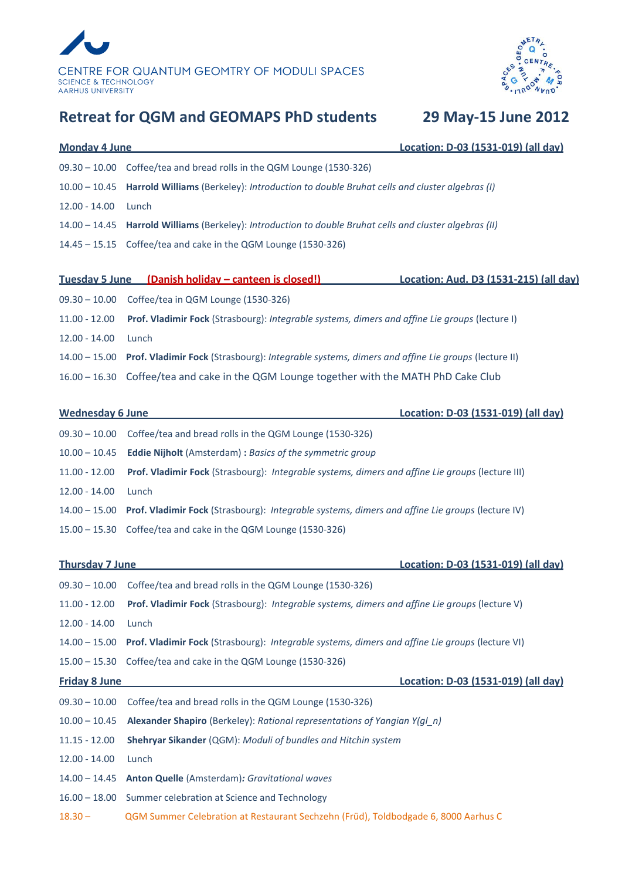



# **Retreat for QGM and GEOMAPS PhD students 29 May-15 June 2012**

| <b>Monday 4 June</b>    | Location: D-03 (1531-019) (all day)                                                              |  |
|-------------------------|--------------------------------------------------------------------------------------------------|--|
| $09.30 - 10.00$         | Coffee/tea and bread rolls in the QGM Lounge (1530-326)                                          |  |
| $10.00 - 10.45$         | Harrold Williams (Berkeley): Introduction to double Bruhat cells and cluster algebras (I)        |  |
| $12.00 - 14.00$         | Lunch                                                                                            |  |
| $14.00 - 14.45$         | Harrold Williams (Berkeley): Introduction to double Bruhat cells and cluster algebras (II)       |  |
| $14.45 - 15.15$         | Coffee/tea and cake in the QGM Lounge (1530-326)                                                 |  |
|                         |                                                                                                  |  |
| <b>Tuesday 5 June</b>   | (Danish holiday - canteen is closed!)<br>Location: Aud. D3 (1531-215) (all day)                  |  |
| $09.30 - 10.00$         | Coffee/tea in QGM Lounge (1530-326)                                                              |  |
| $11.00 - 12.00$         | Prof. Vladimir Fock (Strasbourg): Integrable systems, dimers and affine Lie groups (lecture I)   |  |
| $12.00 - 14.00$         | Lunch                                                                                            |  |
| $14.00 - 15.00$         | Prof. Vladimir Fock (Strasbourg): Integrable systems, dimers and affine Lie groups (lecture II)  |  |
| $16.00 - 16.30$         | Coffee/tea and cake in the QGM Lounge together with the MATH PhD Cake Club                       |  |
|                         |                                                                                                  |  |
| <b>Wednesday 6 June</b> | Location: D-03 (1531-019) (all day)                                                              |  |
| $09.30 - 10.00$         | Coffee/tea and bread rolls in the QGM Lounge (1530-326)                                          |  |
| $10.00 - 10.45$         | <b>Eddie Nijholt</b> (Amsterdam) : Basics of the symmetric group                                 |  |
| $11.00 - 12.00$         | Prof. Vladimir Fock (Strasbourg): Integrable systems, dimers and affine Lie groups (lecture III) |  |
| $12.00 - 14.00$         | Lunch                                                                                            |  |
| $14.00 - 15.00$         | Prof. Vladimir Fock (Strasbourg): Integrable systems, dimers and affine Lie groups (lecture IV)  |  |
| $15.00 - 15.30$         | Coffee/tea and cake in the QGM Lounge (1530-326)                                                 |  |
|                         |                                                                                                  |  |
| <b>Thursday 7 June</b>  | Location: D-03 (1531-019) (all day)                                                              |  |
|                         | 09.30 - 10.00 Coffee/tea and bread rolls in the QGM Lounge (1530-326)                            |  |
| $11.00 - 12.00$         | Prof. Vladimir Fock (Strasbourg): Integrable systems, dimers and affine Lie groups (lecture V)   |  |
| $12.00 - 14.00$         | Lunch                                                                                            |  |
| $14.00 - 15.00$         | Prof. Vladimir Fock (Strasbourg): Integrable systems, dimers and affine Lie groups (lecture VI)  |  |
| $15.00 - 15.30$         | Coffee/tea and cake in the QGM Lounge (1530-326)                                                 |  |
| <b>Friday 8 June</b>    | Location: D-03 (1531-019) (all day)                                                              |  |
| $09.30 - 10.00$         | Coffee/tea and bread rolls in the QGM Lounge (1530-326)                                          |  |
| $10.00 - 10.45$         | Alexander Shapiro (Berkeley): Rational representations of Yangian Y(gl_n)                        |  |
| $11.15 - 12.00$         | Shehryar Sikander (QGM): Moduli of bundles and Hitchin system                                    |  |
| $12.00 - 14.00$         | Lunch                                                                                            |  |
| $14.00 - 14.45$         | Anton Quelle (Amsterdam): Gravitational waves                                                    |  |
| $16.00 - 18.00$         | Summer celebration at Science and Technology                                                     |  |
| $18.30 -$               | QGM Summer Celebration at Restaurant Sechzehn (Früd), Toldbodgade 6, 8000 Aarhus C               |  |